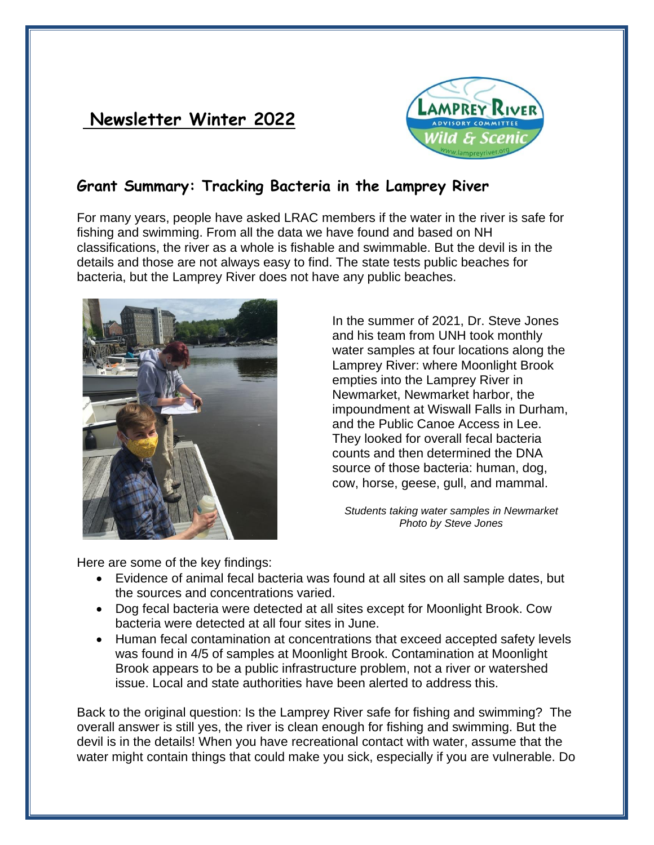# **Newsletter Winter 2022**



### **Grant Summary: Tracking Bacteria in the Lamprey River**

For many years, people have asked LRAC members if the water in the river is safe for fishing and swimming. From all the data we have found and based on NH classifications, the river as a whole is fishable and swimmable. But the devil is in the details and those are not always easy to find. The state tests public beaches for bacteria, but the Lamprey River does not have any public beaches.



In the summer of 2021, Dr. Steve Jones and his team from UNH took monthly water samples at four locations along the Lamprey River: where Moonlight Brook empties into the Lamprey River in Newmarket, Newmarket harbor, the impoundment at Wiswall Falls in Durham, and the Public Canoe Access in Lee. They looked for overall fecal bacteria counts and then determined the DNA source of those bacteria: human, dog, cow, horse, geese, gull, and mammal.

*Students taking water samples in Newmarket Photo by Steve Jones*

Here are some of the key findings:

- Evidence of animal fecal bacteria was found at all sites on all sample dates, but the sources and concentrations varied.
- Dog fecal bacteria were detected at all sites except for Moonlight Brook. Cow bacteria were detected at all four sites in June.
- Human fecal contamination at concentrations that exceed accepted safety levels was found in 4/5 of samples at Moonlight Brook. Contamination at Moonlight Brook appears to be a public infrastructure problem, not a river or watershed issue. Local and state authorities have been alerted to address this.

Back to the original question: Is the Lamprey River safe for fishing and swimming? The overall answer is still yes, the river is clean enough for fishing and swimming. But the devil is in the details! When you have recreational contact with water, assume that the water might contain things that could make you sick, especially if you are vulnerable. Do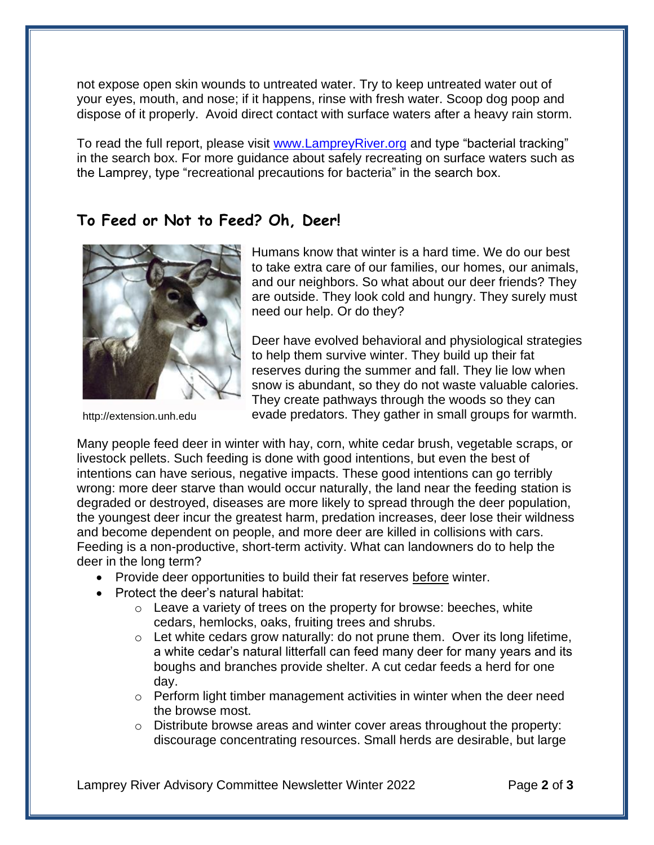not expose open skin wounds to untreated water. Try to keep untreated water out of your eyes, mouth, and nose; if it happens, rinse with fresh water. Scoop dog poop and dispose of it properly. Avoid direct contact with surface waters after a heavy rain storm.

To read the full report, please visit [www.LampreyRiver.org](http://www.lampreyriver.org/) and type "bacterial tracking" in the search box. For more guidance about safely recreating on surface waters such as the Lamprey, type "recreational precautions for bacteria" in the search box.

#### **To Feed or Not to Feed? Oh, Deer!**



http://extension.unh.edu

Humans know that winter is a hard time. We do our best to take extra care of our families, our homes, our animals, and our neighbors. So what about our deer friends? They are outside. They look cold and hungry. They surely must need our help. Or do they?

Deer have evolved behavioral and physiological strategies to help them survive winter. They build up their fat reserves during the summer and fall. They lie low when snow is abundant, so they do not waste valuable calories. They create pathways through the woods so they can evade predators. They gather in small groups for warmth.

Many people feed deer in winter with hay, corn, white cedar brush, vegetable scraps, or livestock pellets. Such feeding is done with good intentions, but even the best of intentions can have serious, negative impacts. These good intentions can go terribly wrong: more deer starve than would occur naturally, the land near the feeding station is degraded or destroyed, diseases are more likely to spread through the deer population, the youngest deer incur the greatest harm, predation increases, deer lose their wildness and become dependent on people, and more deer are killed in collisions with cars. Feeding is a non-productive, short-term activity. What can landowners do to help the deer in the long term?

- Provide deer opportunities to build their fat reserves before winter.
- Protect the deer's natural habitat:
	- $\circ$  Leave a variety of trees on the property for browse: beeches, white cedars, hemlocks, oaks, fruiting trees and shrubs.
	- $\circ$  Let white cedars grow naturally: do not prune them. Over its long lifetime, a white cedar's natural litterfall can feed many deer for many years and its boughs and branches provide shelter. A cut cedar feeds a herd for one day.
	- $\circ$  Perform light timber management activities in winter when the deer need the browse most.
	- $\circ$  Distribute browse areas and winter cover areas throughout the property: discourage concentrating resources. Small herds are desirable, but large

Lamprey River Advisory Committee Newsletter Winter 2022 Page **2** of **3**